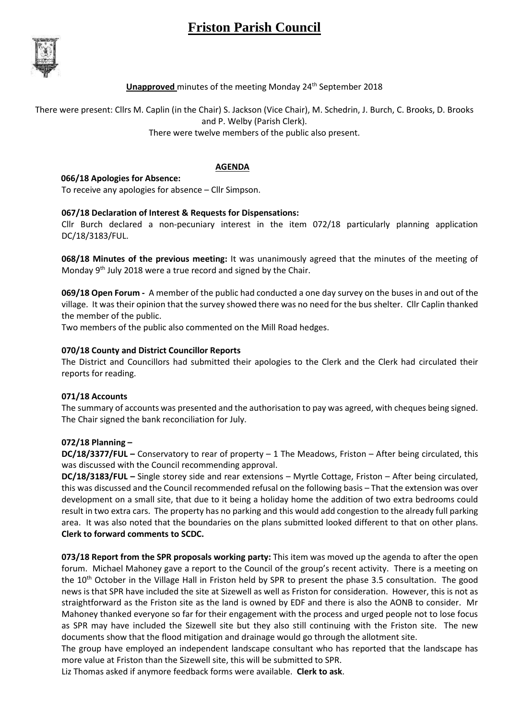# **Friston Parish Council**



## **Unapproved** minutes of the meeting Monday 24<sup>th</sup> September 2018

There were present: Cllrs M. Caplin (in the Chair) S. Jackson (Vice Chair), M. Schedrin, J. Burch, C. Brooks, D. Brooks and P. Welby (Parish Clerk).

There were twelve members of the public also present.

#### **AGENDA**

 **066/18 Apologies for Absence:** To receive any apologies for absence – Cllr Simpson.

### **067/18 Declaration of Interest & Requests for Dispensations:**

Cllr Burch declared a non-pecuniary interest in the item 072/18 particularly planning application DC/18/3183/FUL.

**068/18 Minutes of the previous meeting:** It was unanimously agreed that the minutes of the meeting of Monday 9<sup>th</sup> July 2018 were a true record and signed by the Chair.

**069/18 Open Forum -** A member of the public had conducted a one day survey on the buses in and out of the village. It was their opinion that the survey showed there was no need for the bus shelter. Cllr Caplin thanked the member of the public.

Two members of the public also commented on the Mill Road hedges.

### **070/18 County and District Councillor Reports**

The District and Councillors had submitted their apologies to the Clerk and the Clerk had circulated their reports for reading.

#### **071/18 Accounts**

The summary of accounts was presented and the authorisation to pay was agreed, with cheques being signed. The Chair signed the bank reconciliation for July.

#### **072/18 Planning –**

**DC/18/3377/FUL –** Conservatory to rear of property – 1 The Meadows, Friston – After being circulated, this was discussed with the Council recommending approval.

**DC/18/3183/FUL –** Single storey side and rear extensions – Myrtle Cottage, Friston – After being circulated, this was discussed and the Council recommended refusal on the following basis – That the extension was over development on a small site, that due to it being a holiday home the addition of two extra bedrooms could result in two extra cars. The property has no parking and this would add congestion to the already full parking area. It was also noted that the boundaries on the plans submitted looked different to that on other plans. **Clerk to forward comments to SCDC.**

**073/18 Report from the SPR proposals working party:** This item was moved up the agenda to after the open forum. Michael Mahoney gave a report to the Council of the group's recent activity. There is a meeting on the 10<sup>th</sup> October in the Village Hall in Friston held by SPR to present the phase 3.5 consultation. The good news is that SPR have included the site at Sizewell as well as Friston for consideration. However, this is not as straightforward as the Friston site as the land is owned by EDF and there is also the AONB to consider. Mr Mahoney thanked everyone so far for their engagement with the process and urged people not to lose focus as SPR may have included the Sizewell site but they also still continuing with the Friston site. The new documents show that the flood mitigation and drainage would go through the allotment site.

The group have employed an independent landscape consultant who has reported that the landscape has more value at Friston than the Sizewell site, this will be submitted to SPR.

Liz Thomas asked if anymore feedback forms were available. **Clerk to ask**.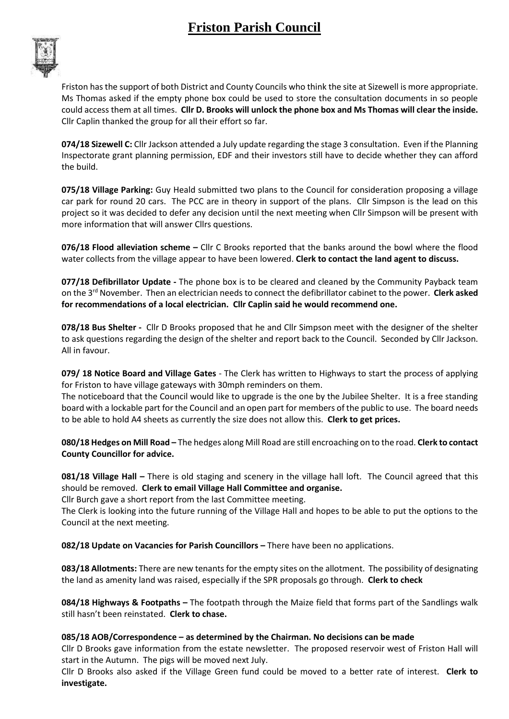## **Friston Parish Council**



Friston has the support of both District and County Councils who think the site at Sizewell is more appropriate. Ms Thomas asked if the empty phone box could be used to store the consultation documents in so people could access them at all times. **Cllr D. Brooks will unlock the phone box and Ms Thomas will clear the inside.** Cllr Caplin thanked the group for all their effort so far.

**074/18 Sizewell C:** Cllr Jackson attended a July update regarding the stage 3 consultation. Even if the Planning Inspectorate grant planning permission, EDF and their investors still have to decide whether they can afford the build.

**075/18 Village Parking:** Guy Heald submitted two plans to the Council for consideration proposing a village car park for round 20 cars. The PCC are in theory in support of the plans. Cllr Simpson is the lead on this project so it was decided to defer any decision until the next meeting when Cllr Simpson will be present with more information that will answer Cllrs questions.

**076/18 Flood alleviation scheme –** Cllr C Brooks reported that the banks around the bowl where the flood water collects from the village appear to have been lowered. **Clerk to contact the land agent to discuss.**

**077/18 Defibrillator Update -** The phone box is to be cleared and cleaned by the Community Payback team on the 3rd November. Then an electrician needs to connect the defibrillator cabinet to the power. **Clerk asked for recommendations of a local electrician. Cllr Caplin said he would recommend one.**

**078/18 Bus Shelter -** Cllr D Brooks proposed that he and Cllr Simpson meet with the designer of the shelter to ask questions regarding the design of the shelter and report back to the Council. Seconded by Cllr Jackson. All in favour.

**079/ 18 Notice Board and Village Gates** - The Clerk has written to Highways to start the process of applying for Friston to have village gateways with 30mph reminders on them.

The noticeboard that the Council would like to upgrade is the one by the Jubilee Shelter. It is a free standing board with a lockable part for the Council and an open part for members of the public to use. The board needs to be able to hold A4 sheets as currently the size does not allow this. **Clerk to get prices.**

**080/18 Hedges on Mill Road –** The hedges along Mill Road are still encroaching on to the road. **Clerk to contact County Councillor for advice.**

**081/18 Village Hall –** There is old staging and scenery in the village hall loft. The Council agreed that this should be removed. **Clerk to email Village Hall Committee and organise.**

Cllr Burch gave a short report from the last Committee meeting.

The Clerk is looking into the future running of the Village Hall and hopes to be able to put the options to the Council at the next meeting.

**082/18 Update on Vacancies for Parish Councillors –** There have been no applications.

**083/18 Allotments:** There are new tenants for the empty sites on the allotment. The possibility of designating the land as amenity land was raised, especially if the SPR proposals go through. **Clerk to check**

**084/18 Highways & Footpaths –** The footpath through the Maize field that forms part of the Sandlings walk still hasn't been reinstated. **Clerk to chase.**

### **085/18 AOB/Correspondence – as determined by the Chairman. No decisions can be made**

Cllr D Brooks gave information from the estate newsletter. The proposed reservoir west of Friston Hall will start in the Autumn. The pigs will be moved next July.

Cllr D Brooks also asked if the Village Green fund could be moved to a better rate of interest. **Clerk to investigate.**